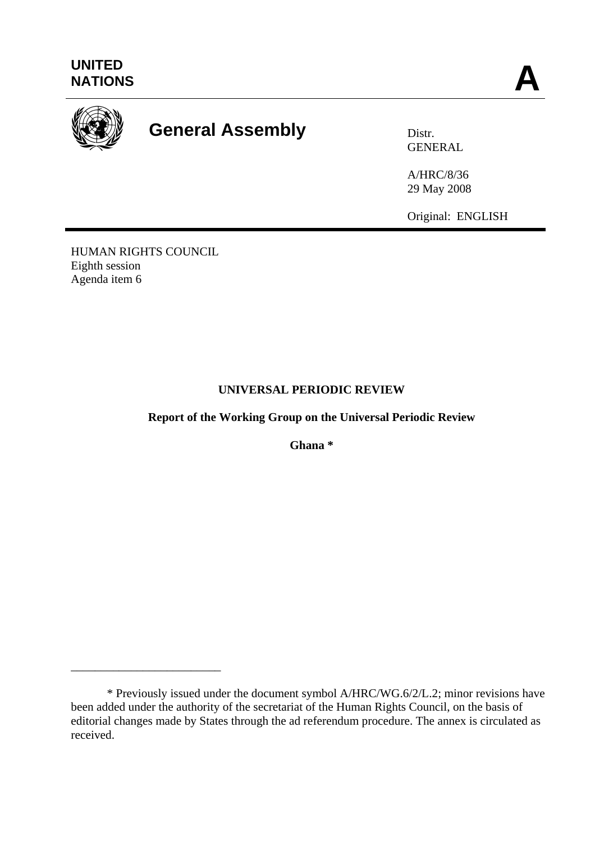

# **General Assembly Distra Distr.**

GENERAL

A/HRC/8/36 29 May 2008

Original: ENGLISH

HUMAN RIGHTS COUNCIL Eighth session Agenda item 6

\_\_\_\_\_\_\_\_\_\_\_\_\_\_\_\_\_\_\_\_\_\_\_\_\_

# **UNIVERSAL PERIODIC REVIEW**

**Report of the Working Group on the Universal Periodic Review**

**Ghana \*** 

 <sup>\*</sup> Previously issued under the document symbol A/HRC/WG.6/2/L.2; minor revisions have been added under the authority of the secretariat of the Human Rights Council, on the basis of editorial changes made by States through the ad referendum procedure. The annex is circulated as received.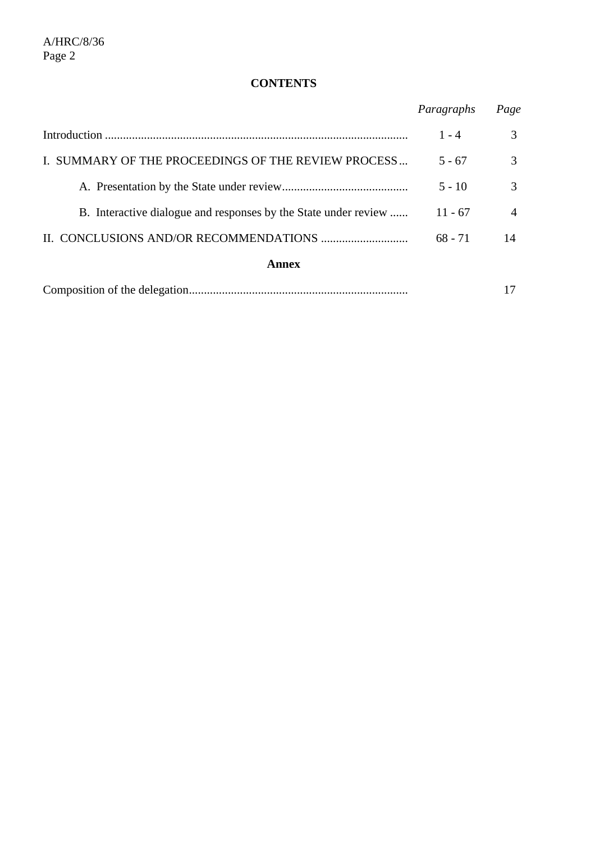# **CONTENTS**

|                                                                 | Paragraphs | Page          |
|-----------------------------------------------------------------|------------|---------------|
|                                                                 | $1 - 4$    | 3             |
| I. SUMMARY OF THE PROCEEDINGS OF THE REVIEW PROCESS             | $5 - 67$   | 3             |
|                                                                 | $5 - 10$   | $\mathcal{R}$ |
| B. Interactive dialogue and responses by the State under review | $11 - 67$  | 4             |
|                                                                 | $68 - 71$  | 14            |
| Annex                                                           |            |               |
|                                                                 |            |               |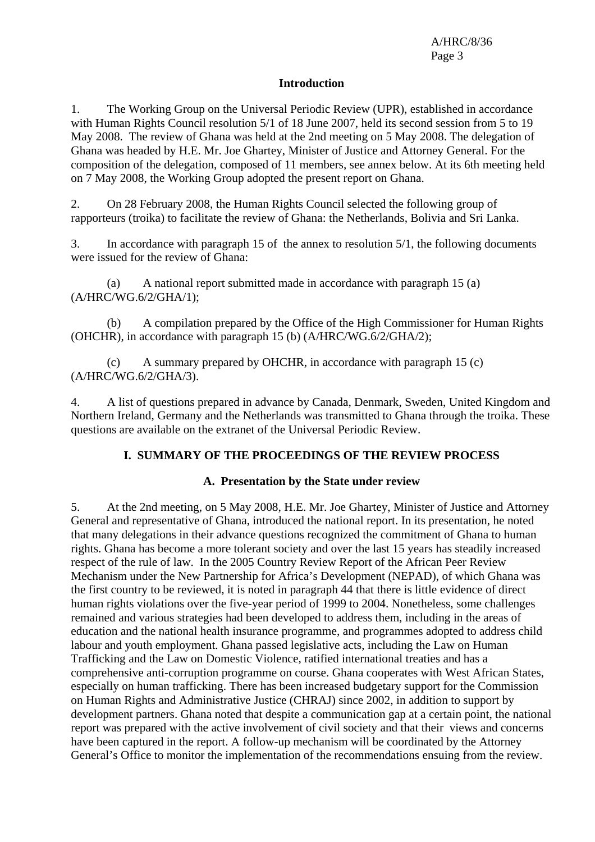#### **Introduction**

1. The Working Group on the Universal Periodic Review (UPR), established in accordance with Human Rights Council resolution 5/1 of 18 June 2007, held its second session from 5 to 19 May 2008. The review of Ghana was held at the 2nd meeting on 5 May 2008. The delegation of Ghana was headed by H.E. Mr. Joe Ghartey, Minister of Justice and Attorney General. For the composition of the delegation, composed of 11 members, see annex below. At its 6th meeting held on 7 May 2008, the Working Group adopted the present report on Ghana.

2. On 28 February 2008, the Human Rights Council selected the following group of rapporteurs (troika) to facilitate the review of Ghana: the Netherlands, Bolivia and Sri Lanka.

3. In accordance with paragraph 15 of the annex to resolution 5/1, the following documents were issued for the review of Ghana:

(a) A national report submitted made in accordance with paragraph 15 (a) (A/HRC/WG.6/2/GHA/1);

(b) A compilation prepared by the Office of the High Commissioner for Human Rights (OHCHR), in accordance with paragraph 15 (b) (A/HRC/WG.6/2/GHA/2);

(c) A summary prepared by OHCHR, in accordance with paragraph 15 (c) (A/HRC/WG.6/2/GHA/3).

4. A list of questions prepared in advance by Canada, Denmark, Sweden, United Kingdom and Northern Ireland, Germany and the Netherlands was transmitted to Ghana through the troika. These questions are available on the extranet of the Universal Periodic Review.

## **I. SUMMARY OF THE PROCEEDINGS OF THE REVIEW PROCESS**

## **A. Presentation by the State under review**

5. At the 2nd meeting, on 5 May 2008, H.E. Mr. Joe Ghartey, Minister of Justice and Attorney General and representative of Ghana, introduced the national report. In its presentation, he noted that many delegations in their advance questions recognized the commitment of Ghana to human rights. Ghana has become a more tolerant society and over the last 15 years has steadily increased respect of the rule of law. In the 2005 Country Review Report of the African Peer Review Mechanism under the New Partnership for Africa's Development (NEPAD), of which Ghana was the first country to be reviewed, it is noted in paragraph 44 that there is little evidence of direct human rights violations over the five-year period of 1999 to 2004. Nonetheless, some challenges remained and various strategies had been developed to address them, including in the areas of education and the national health insurance programme, and programmes adopted to address child labour and youth employment. Ghana passed legislative acts, including the Law on Human Trafficking and the Law on Domestic Violence, ratified international treaties and has a comprehensive anti-corruption programme on course. Ghana cooperates with West African States, especially on human trafficking. There has been increased budgetary support for the Commission on Human Rights and Administrative Justice (CHRAJ) since 2002, in addition to support by development partners. Ghana noted that despite a communication gap at a certain point, the national report was prepared with the active involvement of civil society and that their views and concerns have been captured in the report. A follow-up mechanism will be coordinated by the Attorney General's Office to monitor the implementation of the recommendations ensuing from the review.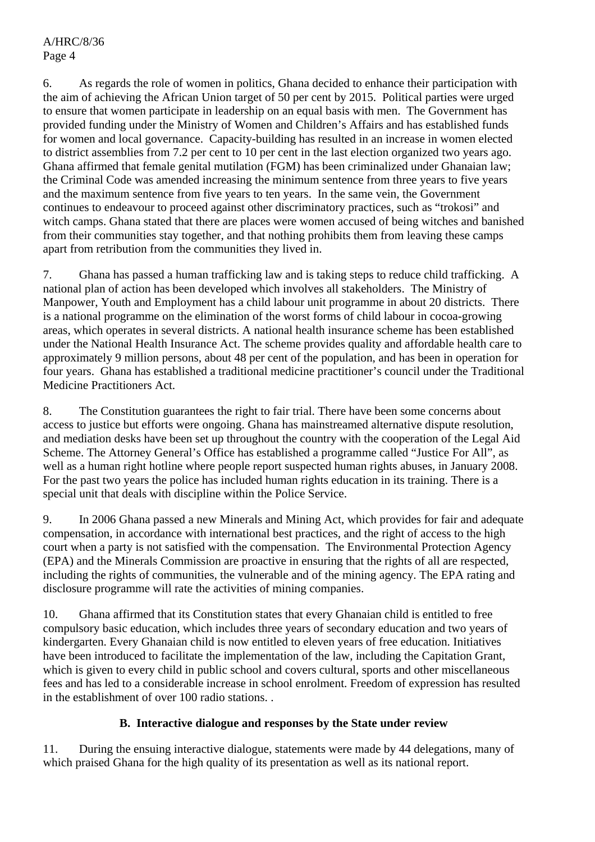6. As regards the role of women in politics, Ghana decided to enhance their participation with the aim of achieving the African Union target of 50 per cent by 2015. Political parties were urged to ensure that women participate in leadership on an equal basis with men. The Government has provided funding under the Ministry of Women and Children's Affairs and has established funds for women and local governance. Capacity-building has resulted in an increase in women elected to district assemblies from 7.2 per cent to 10 per cent in the last election organized two years ago. Ghana affirmed that female genital mutilation (FGM) has been criminalized under Ghanaian law; the Criminal Code was amended increasing the minimum sentence from three years to five years and the maximum sentence from five years to ten years. In the same vein, the Government continues to endeavour to proceed against other discriminatory practices, such as "trokosi" and witch camps. Ghana stated that there are places were women accused of being witches and banished from their communities stay together, and that nothing prohibits them from leaving these camps apart from retribution from the communities they lived in.

7. Ghana has passed a human trafficking law and is taking steps to reduce child trafficking. A national plan of action has been developed which involves all stakeholders. The Ministry of Manpower, Youth and Employment has a child labour unit programme in about 20 districts. There is a national programme on the elimination of the worst forms of child labour in cocoa-growing areas, which operates in several districts. A national health insurance scheme has been established under the National Health Insurance Act. The scheme provides quality and affordable health care to approximately 9 million persons, about 48 per cent of the population, and has been in operation for four years. Ghana has established a traditional medicine practitioner's council under the Traditional Medicine Practitioners Act.

8. The Constitution guarantees the right to fair trial. There have been some concerns about access to justice but efforts were ongoing. Ghana has mainstreamed alternative dispute resolution, and mediation desks have been set up throughout the country with the cooperation of the Legal Aid Scheme. The Attorney General's Office has established a programme called "Justice For All", as well as a human right hotline where people report suspected human rights abuses, in January 2008. For the past two years the police has included human rights education in its training. There is a special unit that deals with discipline within the Police Service.

9. In 2006 Ghana passed a new Minerals and Mining Act, which provides for fair and adequate compensation, in accordance with international best practices, and the right of access to the high court when a party is not satisfied with the compensation. The Environmental Protection Agency (EPA) and the Minerals Commission are proactive in ensuring that the rights of all are respected, including the rights of communities, the vulnerable and of the mining agency. The EPA rating and disclosure programme will rate the activities of mining companies.

10. Ghana affirmed that its Constitution states that every Ghanaian child is entitled to free compulsory basic education, which includes three years of secondary education and two years of kindergarten. Every Ghanaian child is now entitled to eleven years of free education. Initiatives have been introduced to facilitate the implementation of the law, including the Capitation Grant, which is given to every child in public school and covers cultural, sports and other miscellaneous fees and has led to a considerable increase in school enrolment. Freedom of expression has resulted in the establishment of over 100 radio stations. .

## **B. Interactive dialogue and responses by the State under review**

11. During the ensuing interactive dialogue, statements were made by 44 delegations, many of which praised Ghana for the high quality of its presentation as well as its national report.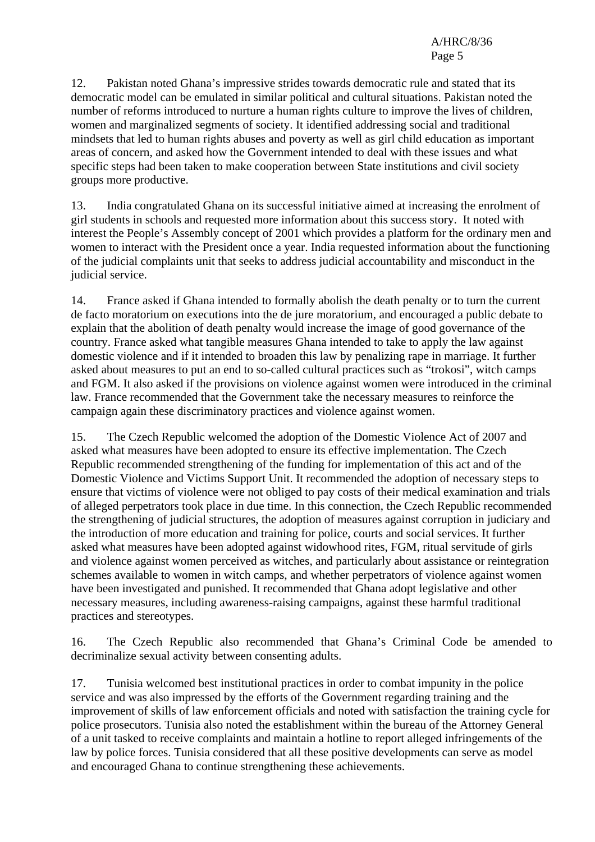12. Pakistan noted Ghana's impressive strides towards democratic rule and stated that its democratic model can be emulated in similar political and cultural situations. Pakistan noted the number of reforms introduced to nurture a human rights culture to improve the lives of children, women and marginalized segments of society. It identified addressing social and traditional mindsets that led to human rights abuses and poverty as well as girl child education as important areas of concern, and asked how the Government intended to deal with these issues and what specific steps had been taken to make cooperation between State institutions and civil society groups more productive.

13. India congratulated Ghana on its successful initiative aimed at increasing the enrolment of girl students in schools and requested more information about this success story. It noted with interest the People's Assembly concept of 2001 which provides a platform for the ordinary men and women to interact with the President once a year. India requested information about the functioning of the judicial complaints unit that seeks to address judicial accountability and misconduct in the judicial service.

14. France asked if Ghana intended to formally abolish the death penalty or to turn the current de facto moratorium on executions into the de jure moratorium, and encouraged a public debate to explain that the abolition of death penalty would increase the image of good governance of the country. France asked what tangible measures Ghana intended to take to apply the law against domestic violence and if it intended to broaden this law by penalizing rape in marriage. It further asked about measures to put an end to so-called cultural practices such as "trokosi", witch camps and FGM. It also asked if the provisions on violence against women were introduced in the criminal law. France recommended that the Government take the necessary measures to reinforce the campaign again these discriminatory practices and violence against women.

15. The Czech Republic welcomed the adoption of the Domestic Violence Act of 2007 and asked what measures have been adopted to ensure its effective implementation. The Czech Republic recommended strengthening of the funding for implementation of this act and of the Domestic Violence and Victims Support Unit. It recommended the adoption of necessary steps to ensure that victims of violence were not obliged to pay costs of their medical examination and trials of alleged perpetrators took place in due time. In this connection, the Czech Republic recommended the strengthening of judicial structures, the adoption of measures against corruption in judiciary and the introduction of more education and training for police, courts and social services. It further asked what measures have been adopted against widowhood rites, FGM, ritual servitude of girls and violence against women perceived as witches, and particularly about assistance or reintegration schemes available to women in witch camps, and whether perpetrators of violence against women have been investigated and punished. It recommended that Ghana adopt legislative and other necessary measures, including awareness-raising campaigns, against these harmful traditional practices and stereotypes.

16. The Czech Republic also recommended that Ghana's Criminal Code be amended to decriminalize sexual activity between consenting adults.

17. Tunisia welcomed best institutional practices in order to combat impunity in the police service and was also impressed by the efforts of the Government regarding training and the improvement of skills of law enforcement officials and noted with satisfaction the training cycle for police prosecutors. Tunisia also noted the establishment within the bureau of the Attorney General of a unit tasked to receive complaints and maintain a hotline to report alleged infringements of the law by police forces. Tunisia considered that all these positive developments can serve as model and encouraged Ghana to continue strengthening these achievements.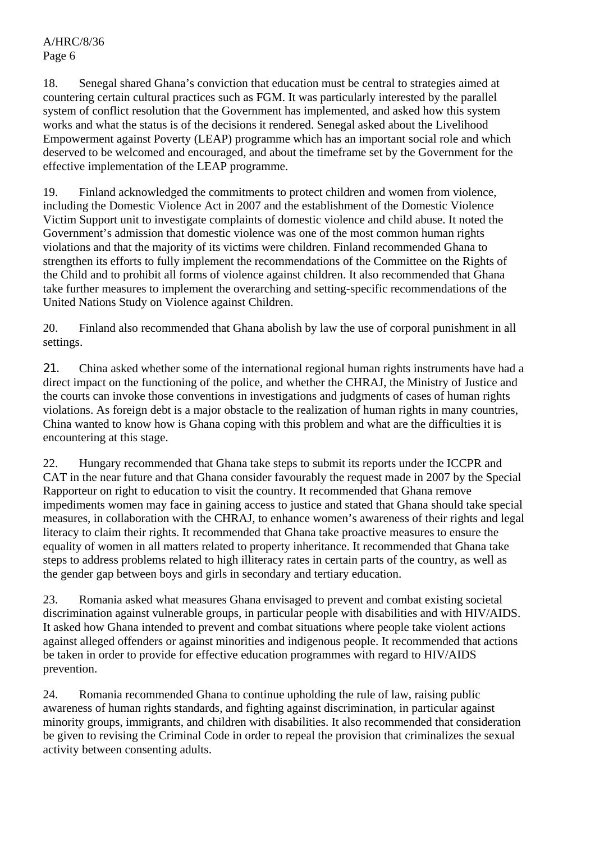18. Senegal shared Ghana's conviction that education must be central to strategies aimed at countering certain cultural practices such as FGM. It was particularly interested by the parallel system of conflict resolution that the Government has implemented, and asked how this system works and what the status is of the decisions it rendered. Senegal asked about the Livelihood Empowerment against Poverty (LEAP) programme which has an important social role and which deserved to be welcomed and encouraged, and about the timeframe set by the Government for the effective implementation of the LEAP programme.

19. Finland acknowledged the commitments to protect children and women from violence, including the Domestic Violence Act in 2007 and the establishment of the Domestic Violence Victim Support unit to investigate complaints of domestic violence and child abuse. It noted the Government's admission that domestic violence was one of the most common human rights violations and that the majority of its victims were children. Finland recommended Ghana to strengthen its efforts to fully implement the recommendations of the Committee on the Rights of the Child and to prohibit all forms of violence against children. It also recommended that Ghana take further measures to implement the overarching and setting-specific recommendations of the United Nations Study on Violence against Children.

20. Finland also recommended that Ghana abolish by law the use of corporal punishment in all settings.

21. China asked whether some of the international regional human rights instruments have had a direct impact on the functioning of the police, and whether the CHRAJ, the Ministry of Justice and the courts can invoke those conventions in investigations and judgments of cases of human rights violations. As foreign debt is a major obstacle to the realization of human rights in many countries, China wanted to know how is Ghana coping with this problem and what are the difficulties it is encountering at this stage.

22. Hungary recommended that Ghana take steps to submit its reports under the ICCPR and CAT in the near future and that Ghana consider favourably the request made in 2007 by the Special Rapporteur on right to education to visit the country. It recommended that Ghana remove impediments women may face in gaining access to justice and stated that Ghana should take special measures, in collaboration with the CHRAJ, to enhance women's awareness of their rights and legal literacy to claim their rights. It recommended that Ghana take proactive measures to ensure the equality of women in all matters related to property inheritance. It recommended that Ghana take steps to address problems related to high illiteracy rates in certain parts of the country, as well as the gender gap between boys and girls in secondary and tertiary education.

23. Romania asked what measures Ghana envisaged to prevent and combat existing societal discrimination against vulnerable groups, in particular people with disabilities and with HIV/AIDS. It asked how Ghana intended to prevent and combat situations where people take violent actions against alleged offenders or against minorities and indigenous people. It recommended that actions be taken in order to provide for effective education programmes with regard to HIV/AIDS prevention.

24. Romania recommended Ghana to continue upholding the rule of law, raising public awareness of human rights standards, and fighting against discrimination, in particular against minority groups, immigrants, and children with disabilities. It also recommended that consideration be given to revising the Criminal Code in order to repeal the provision that criminalizes the sexual activity between consenting adults.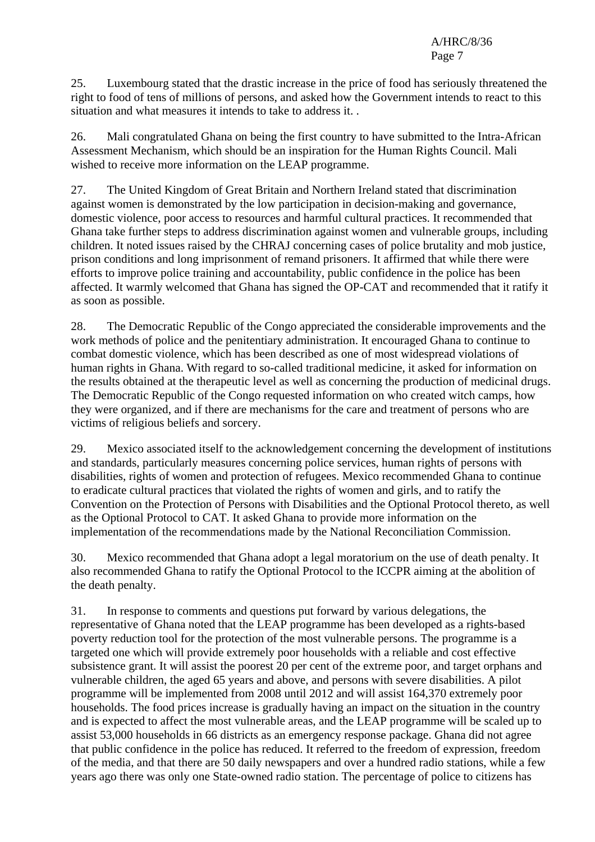25. Luxembourg stated that the drastic increase in the price of food has seriously threatened the right to food of tens of millions of persons, and asked how the Government intends to react to this situation and what measures it intends to take to address it. .

26. Mali congratulated Ghana on being the first country to have submitted to the Intra-African Assessment Mechanism, which should be an inspiration for the Human Rights Council. Mali wished to receive more information on the LEAP programme.

27. The United Kingdom of Great Britain and Northern Ireland stated that discrimination against women is demonstrated by the low participation in decision-making and governance, domestic violence, poor access to resources and harmful cultural practices. It recommended that Ghana take further steps to address discrimination against women and vulnerable groups, including children. It noted issues raised by the CHRAJ concerning cases of police brutality and mob justice, prison conditions and long imprisonment of remand prisoners. It affirmed that while there were efforts to improve police training and accountability, public confidence in the police has been affected. It warmly welcomed that Ghana has signed the OP-CAT and recommended that it ratify it as soon as possible.

28. The Democratic Republic of the Congo appreciated the considerable improvements and the work methods of police and the penitentiary administration. It encouraged Ghana to continue to combat domestic violence, which has been described as one of most widespread violations of human rights in Ghana. With regard to so-called traditional medicine, it asked for information on the results obtained at the therapeutic level as well as concerning the production of medicinal drugs. The Democratic Republic of the Congo requested information on who created witch camps, how they were organized, and if there are mechanisms for the care and treatment of persons who are victims of religious beliefs and sorcery.

29. Mexico associated itself to the acknowledgement concerning the development of institutions and standards, particularly measures concerning police services, human rights of persons with disabilities, rights of women and protection of refugees. Mexico recommended Ghana to continue to eradicate cultural practices that violated the rights of women and girls, and to ratify the Convention on the Protection of Persons with Disabilities and the Optional Protocol thereto, as well as the Optional Protocol to CAT. It asked Ghana to provide more information on the implementation of the recommendations made by the National Reconciliation Commission.

30. Mexico recommended that Ghana adopt a legal moratorium on the use of death penalty. It also recommended Ghana to ratify the Optional Protocol to the ICCPR aiming at the abolition of the death penalty.

31. In response to comments and questions put forward by various delegations, the representative of Ghana noted that the LEAP programme has been developed as a rights-based poverty reduction tool for the protection of the most vulnerable persons. The programme is a targeted one which will provide extremely poor households with a reliable and cost effective subsistence grant. It will assist the poorest 20 per cent of the extreme poor, and target orphans and vulnerable children, the aged 65 years and above, and persons with severe disabilities. A pilot programme will be implemented from 2008 until 2012 and will assist 164,370 extremely poor households. The food prices increase is gradually having an impact on the situation in the country and is expected to affect the most vulnerable areas, and the LEAP programme will be scaled up to assist 53,000 households in 66 districts as an emergency response package. Ghana did not agree that public confidence in the police has reduced. It referred to the freedom of expression, freedom of the media, and that there are 50 daily newspapers and over a hundred radio stations, while a few years ago there was only one State-owned radio station. The percentage of police to citizens has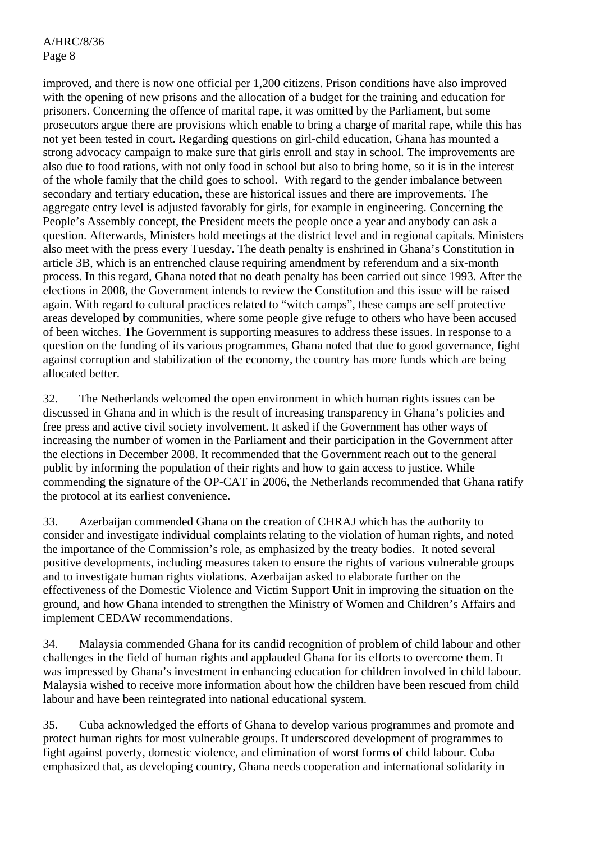improved, and there is now one official per 1,200 citizens. Prison conditions have also improved with the opening of new prisons and the allocation of a budget for the training and education for prisoners. Concerning the offence of marital rape, it was omitted by the Parliament, but some prosecutors argue there are provisions which enable to bring a charge of marital rape, while this has not yet been tested in court. Regarding questions on girl-child education, Ghana has mounted a strong advocacy campaign to make sure that girls enroll and stay in school. The improvements are also due to food rations, with not only food in school but also to bring home, so it is in the interest of the whole family that the child goes to school. With regard to the gender imbalance between secondary and tertiary education, these are historical issues and there are improvements. The aggregate entry level is adjusted favorably for girls, for example in engineering. Concerning the People's Assembly concept, the President meets the people once a year and anybody can ask a question. Afterwards, Ministers hold meetings at the district level and in regional capitals. Ministers also meet with the press every Tuesday. The death penalty is enshrined in Ghana's Constitution in article 3B, which is an entrenched clause requiring amendment by referendum and a six-month process. In this regard, Ghana noted that no death penalty has been carried out since 1993. After the elections in 2008, the Government intends to review the Constitution and this issue will be raised again. With regard to cultural practices related to "witch camps", these camps are self protective areas developed by communities, where some people give refuge to others who have been accused of been witches. The Government is supporting measures to address these issues. In response to a question on the funding of its various programmes, Ghana noted that due to good governance, fight against corruption and stabilization of the economy, the country has more funds which are being allocated better.

32. The Netherlands welcomed the open environment in which human rights issues can be discussed in Ghana and in which is the result of increasing transparency in Ghana's policies and free press and active civil society involvement. It asked if the Government has other ways of increasing the number of women in the Parliament and their participation in the Government after the elections in December 2008. It recommended that the Government reach out to the general public by informing the population of their rights and how to gain access to justice. While commending the signature of the OP-CAT in 2006, the Netherlands recommended that Ghana ratify the protocol at its earliest convenience.

33. Azerbaijan commended Ghana on the creation of CHRAJ which has the authority to consider and investigate individual complaints relating to the violation of human rights, and noted the importance of the Commission's role, as emphasized by the treaty bodies. It noted several positive developments, including measures taken to ensure the rights of various vulnerable groups and to investigate human rights violations. Azerbaijan asked to elaborate further on the effectiveness of the Domestic Violence and Victim Support Unit in improving the situation on the ground, and how Ghana intended to strengthen the Ministry of Women and Children's Affairs and implement CEDAW recommendations.

34. Malaysia commended Ghana for its candid recognition of problem of child labour and other challenges in the field of human rights and applauded Ghana for its efforts to overcome them. It was impressed by Ghana's investment in enhancing education for children involved in child labour. Malaysia wished to receive more information about how the children have been rescued from child labour and have been reintegrated into national educational system.

35. Cuba acknowledged the efforts of Ghana to develop various programmes and promote and protect human rights for most vulnerable groups. It underscored development of programmes to fight against poverty, domestic violence, and elimination of worst forms of child labour. Cuba emphasized that, as developing country, Ghana needs cooperation and international solidarity in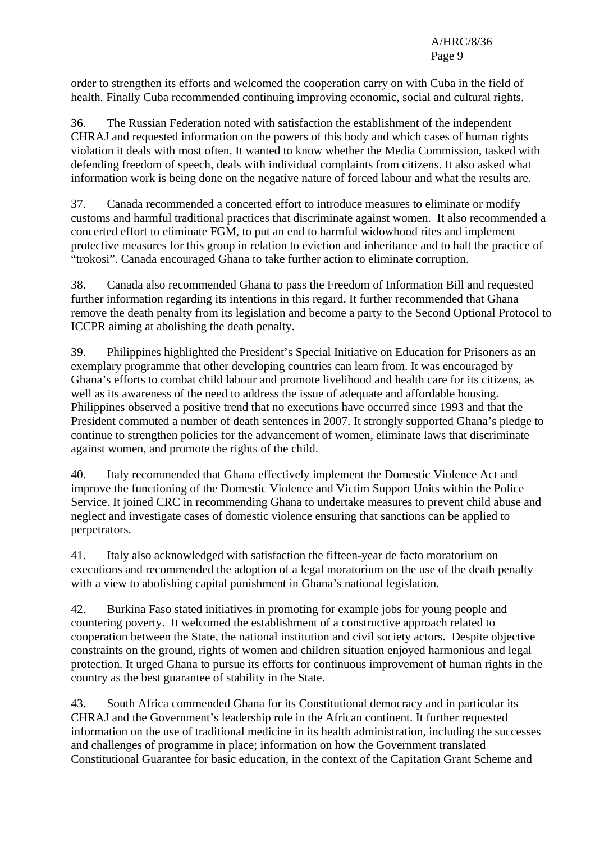order to strengthen its efforts and welcomed the cooperation carry on with Cuba in the field of health. Finally Cuba recommended continuing improving economic, social and cultural rights.

36. The Russian Federation noted with satisfaction the establishment of the independent CHRAJ and requested information on the powers of this body and which cases of human rights violation it deals with most often. It wanted to know whether the Media Commission, tasked with defending freedom of speech, deals with individual complaints from citizens. It also asked what information work is being done on the negative nature of forced labour and what the results are.

37. Canada recommended a concerted effort to introduce measures to eliminate or modify customs and harmful traditional practices that discriminate against women. It also recommended a concerted effort to eliminate FGM, to put an end to harmful widowhood rites and implement protective measures for this group in relation to eviction and inheritance and to halt the practice of "trokosi". Canada encouraged Ghana to take further action to eliminate corruption.

38. Canada also recommended Ghana to pass the Freedom of Information Bill and requested further information regarding its intentions in this regard. It further recommended that Ghana remove the death penalty from its legislation and become a party to the Second Optional Protocol to ICCPR aiming at abolishing the death penalty.

39. Philippines highlighted the President's Special Initiative on Education for Prisoners as an exemplary programme that other developing countries can learn from. It was encouraged by Ghana's efforts to combat child labour and promote livelihood and health care for its citizens, as well as its awareness of the need to address the issue of adequate and affordable housing. Philippines observed a positive trend that no executions have occurred since 1993 and that the President commuted a number of death sentences in 2007. It strongly supported Ghana's pledge to continue to strengthen policies for the advancement of women, eliminate laws that discriminate against women, and promote the rights of the child.

40. Italy recommended that Ghana effectively implement the Domestic Violence Act and improve the functioning of the Domestic Violence and Victim Support Units within the Police Service. It joined CRC in recommending Ghana to undertake measures to prevent child abuse and neglect and investigate cases of domestic violence ensuring that sanctions can be applied to perpetrators.

41. Italy also acknowledged with satisfaction the fifteen-year de facto moratorium on executions and recommended the adoption of a legal moratorium on the use of the death penalty with a view to abolishing capital punishment in Ghana's national legislation.

42. Burkina Faso stated initiatives in promoting for example jobs for young people and countering poverty. It welcomed the establishment of a constructive approach related to cooperation between the State, the national institution and civil society actors. Despite objective constraints on the ground, rights of women and children situation enjoyed harmonious and legal protection. It urged Ghana to pursue its efforts for continuous improvement of human rights in the country as the best guarantee of stability in the State.

43. South Africa commended Ghana for its Constitutional democracy and in particular its CHRAJ and the Government's leadership role in the African continent. It further requested information on the use of traditional medicine in its health administration, including the successes and challenges of programme in place; information on how the Government translated Constitutional Guarantee for basic education, in the context of the Capitation Grant Scheme and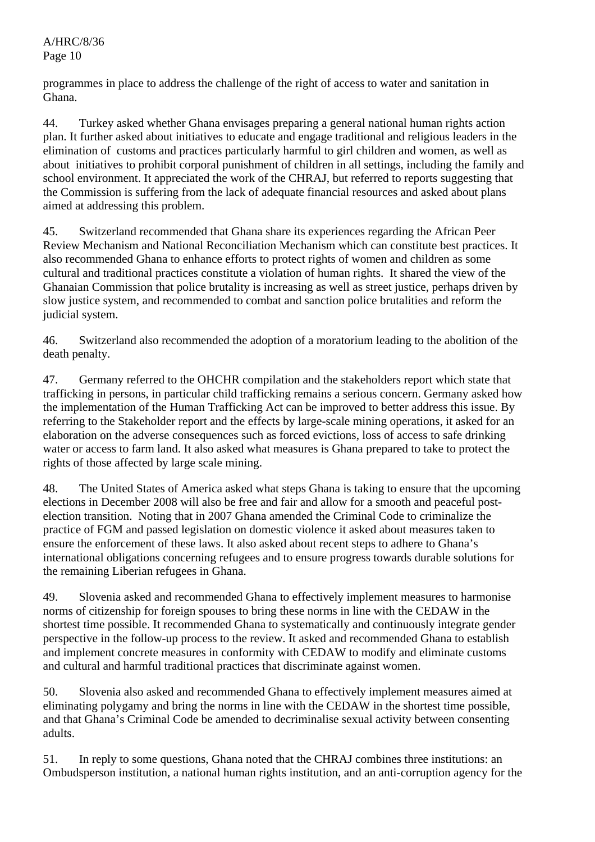programmes in place to address the challenge of the right of access to water and sanitation in Ghana.

44. Turkey asked whether Ghana envisages preparing a general national human rights action plan. It further asked about initiatives to educate and engage traditional and religious leaders in the elimination of customs and practices particularly harmful to girl children and women, as well as about initiatives to prohibit corporal punishment of children in all settings, including the family and school environment. It appreciated the work of the CHRAJ, but referred to reports suggesting that the Commission is suffering from the lack of adequate financial resources and asked about plans aimed at addressing this problem.

45. Switzerland recommended that Ghana share its experiences regarding the African Peer Review Mechanism and National Reconciliation Mechanism which can constitute best practices. It also recommended Ghana to enhance efforts to protect rights of women and children as some cultural and traditional practices constitute a violation of human rights. It shared the view of the Ghanaian Commission that police brutality is increasing as well as street justice, perhaps driven by slow justice system, and recommended to combat and sanction police brutalities and reform the judicial system.

46. Switzerland also recommended the adoption of a moratorium leading to the abolition of the death penalty.

47. Germany referred to the OHCHR compilation and the stakeholders report which state that trafficking in persons, in particular child trafficking remains a serious concern. Germany asked how the implementation of the Human Trafficking Act can be improved to better address this issue. By referring to the Stakeholder report and the effects by large-scale mining operations, it asked for an elaboration on the adverse consequences such as forced evictions, loss of access to safe drinking water or access to farm land. It also asked what measures is Ghana prepared to take to protect the rights of those affected by large scale mining.

48. The United States of America asked what steps Ghana is taking to ensure that the upcoming elections in December 2008 will also be free and fair and allow for a smooth and peaceful postelection transition. Noting that in 2007 Ghana amended the Criminal Code to criminalize the practice of FGM and passed legislation on domestic violence it asked about measures taken to ensure the enforcement of these laws. It also asked about recent steps to adhere to Ghana's international obligations concerning refugees and to ensure progress towards durable solutions for the remaining Liberian refugees in Ghana.

49. Slovenia asked and recommended Ghana to effectively implement measures to harmonise norms of citizenship for foreign spouses to bring these norms in line with the CEDAW in the shortest time possible. It recommended Ghana to systematically and continuously integrate gender perspective in the follow-up process to the review. It asked and recommended Ghana to establish and implement concrete measures in conformity with CEDAW to modify and eliminate customs and cultural and harmful traditional practices that discriminate against women.

50. Slovenia also asked and recommended Ghana to effectively implement measures aimed at eliminating polygamy and bring the norms in line with the CEDAW in the shortest time possible, and that Ghana's Criminal Code be amended to decriminalise sexual activity between consenting adults.

51. In reply to some questions, Ghana noted that the CHRAJ combines three institutions: an Ombudsperson institution, a national human rights institution, and an anti-corruption agency for the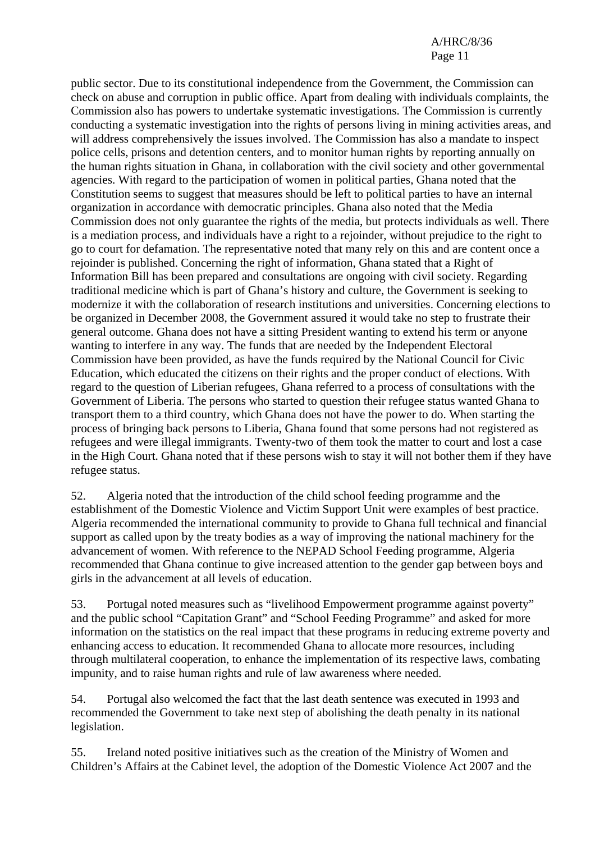public sector. Due to its constitutional independence from the Government, the Commission can check on abuse and corruption in public office. Apart from dealing with individuals complaints, the Commission also has powers to undertake systematic investigations. The Commission is currently conducting a systematic investigation into the rights of persons living in mining activities areas, and will address comprehensively the issues involved. The Commission has also a mandate to inspect police cells, prisons and detention centers, and to monitor human rights by reporting annually on the human rights situation in Ghana, in collaboration with the civil society and other governmental agencies. With regard to the participation of women in political parties, Ghana noted that the Constitution seems to suggest that measures should be left to political parties to have an internal organization in accordance with democratic principles. Ghana also noted that the Media Commission does not only guarantee the rights of the media, but protects individuals as well. There is a mediation process, and individuals have a right to a rejoinder, without prejudice to the right to go to court for defamation. The representative noted that many rely on this and are content once a rejoinder is published. Concerning the right of information, Ghana stated that a Right of Information Bill has been prepared and consultations are ongoing with civil society. Regarding traditional medicine which is part of Ghana's history and culture, the Government is seeking to modernize it with the collaboration of research institutions and universities. Concerning elections to be organized in December 2008, the Government assured it would take no step to frustrate their general outcome. Ghana does not have a sitting President wanting to extend his term or anyone wanting to interfere in any way. The funds that are needed by the Independent Electoral Commission have been provided, as have the funds required by the National Council for Civic Education, which educated the citizens on their rights and the proper conduct of elections. With regard to the question of Liberian refugees, Ghana referred to a process of consultations with the Government of Liberia. The persons who started to question their refugee status wanted Ghana to transport them to a third country, which Ghana does not have the power to do. When starting the process of bringing back persons to Liberia, Ghana found that some persons had not registered as refugees and were illegal immigrants. Twenty-two of them took the matter to court and lost a case in the High Court. Ghana noted that if these persons wish to stay it will not bother them if they have refugee status.

52. Algeria noted that the introduction of the child school feeding programme and the establishment of the Domestic Violence and Victim Support Unit were examples of best practice. Algeria recommended the international community to provide to Ghana full technical and financial support as called upon by the treaty bodies as a way of improving the national machinery for the advancement of women. With reference to the NEPAD School Feeding programme, Algeria recommended that Ghana continue to give increased attention to the gender gap between boys and girls in the advancement at all levels of education.

53. Portugal noted measures such as "livelihood Empowerment programme against poverty" and the public school "Capitation Grant" and "School Feeding Programme" and asked for more information on the statistics on the real impact that these programs in reducing extreme poverty and enhancing access to education. It recommended Ghana to allocate more resources, including through multilateral cooperation, to enhance the implementation of its respective laws, combating impunity, and to raise human rights and rule of law awareness where needed.

54. Portugal also welcomed the fact that the last death sentence was executed in 1993 and recommended the Government to take next step of abolishing the death penalty in its national legislation.

55. Ireland noted positive initiatives such as the creation of the Ministry of Women and Children's Affairs at the Cabinet level, the adoption of the Domestic Violence Act 2007 and the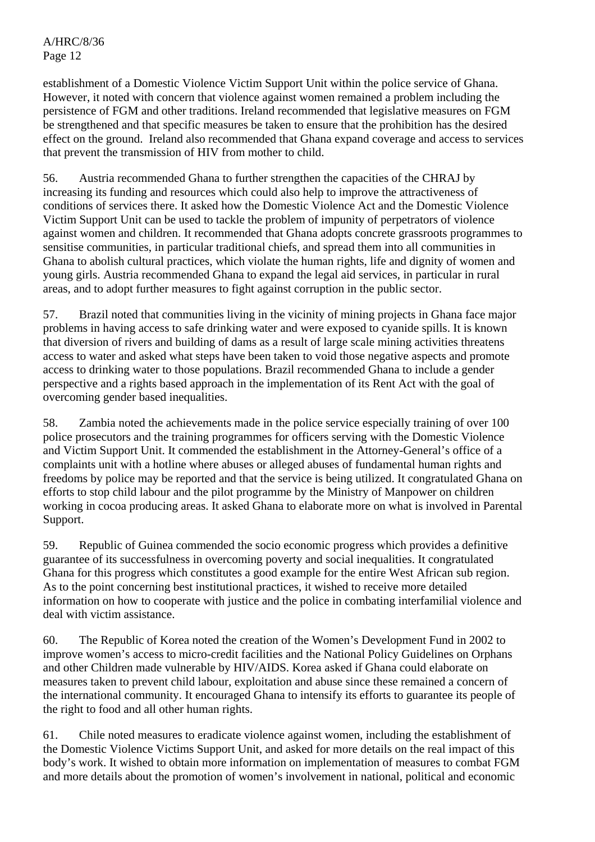establishment of a Domestic Violence Victim Support Unit within the police service of Ghana. However, it noted with concern that violence against women remained a problem including the persistence of FGM and other traditions. Ireland recommended that legislative measures on FGM be strengthened and that specific measures be taken to ensure that the prohibition has the desired effect on the ground. Ireland also recommended that Ghana expand coverage and access to services that prevent the transmission of HIV from mother to child.

56. Austria recommended Ghana to further strengthen the capacities of the CHRAJ by increasing its funding and resources which could also help to improve the attractiveness of conditions of services there. It asked how the Domestic Violence Act and the Domestic Violence Victim Support Unit can be used to tackle the problem of impunity of perpetrators of violence against women and children. It recommended that Ghana adopts concrete grassroots programmes to sensitise communities, in particular traditional chiefs, and spread them into all communities in Ghana to abolish cultural practices, which violate the human rights, life and dignity of women and young girls. Austria recommended Ghana to expand the legal aid services, in particular in rural areas, and to adopt further measures to fight against corruption in the public sector.

57. Brazil noted that communities living in the vicinity of mining projects in Ghana face major problems in having access to safe drinking water and were exposed to cyanide spills. It is known that diversion of rivers and building of dams as a result of large scale mining activities threatens access to water and asked what steps have been taken to void those negative aspects and promote access to drinking water to those populations. Brazil recommended Ghana to include a gender perspective and a rights based approach in the implementation of its Rent Act with the goal of overcoming gender based inequalities.

58. Zambia noted the achievements made in the police service especially training of over 100 police prosecutors and the training programmes for officers serving with the Domestic Violence and Victim Support Unit. It commended the establishment in the Attorney-General's office of a complaints unit with a hotline where abuses or alleged abuses of fundamental human rights and freedoms by police may be reported and that the service is being utilized. It congratulated Ghana on efforts to stop child labour and the pilot programme by the Ministry of Manpower on children working in cocoa producing areas. It asked Ghana to elaborate more on what is involved in Parental Support.

59. Republic of Guinea commended the socio economic progress which provides a definitive guarantee of its successfulness in overcoming poverty and social inequalities. It congratulated Ghana for this progress which constitutes a good example for the entire West African sub region. As to the point concerning best institutional practices, it wished to receive more detailed information on how to cooperate with justice and the police in combating interfamilial violence and deal with victim assistance.

60. The Republic of Korea noted the creation of the Women's Development Fund in 2002 to improve women's access to micro-credit facilities and the National Policy Guidelines on Orphans and other Children made vulnerable by HIV/AIDS. Korea asked if Ghana could elaborate on measures taken to prevent child labour, exploitation and abuse since these remained a concern of the international community. It encouraged Ghana to intensify its efforts to guarantee its people of the right to food and all other human rights.

61. Chile noted measures to eradicate violence against women, including the establishment of the Domestic Violence Victims Support Unit, and asked for more details on the real impact of this body's work. It wished to obtain more information on implementation of measures to combat FGM and more details about the promotion of women's involvement in national, political and economic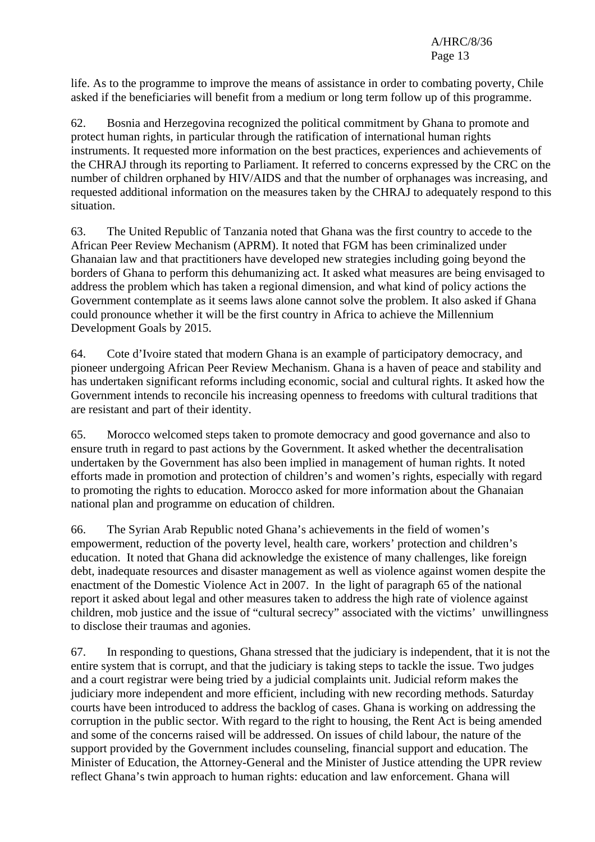life. As to the programme to improve the means of assistance in order to combating poverty, Chile asked if the beneficiaries will benefit from a medium or long term follow up of this programme.

62. Bosnia and Herzegovina recognized the political commitment by Ghana to promote and protect human rights, in particular through the ratification of international human rights instruments. It requested more information on the best practices, experiences and achievements of the CHRAJ through its reporting to Parliament. It referred to concerns expressed by the CRC on the number of children orphaned by HIV/AIDS and that the number of orphanages was increasing, and requested additional information on the measures taken by the CHRAJ to adequately respond to this situation.

63. The United Republic of Tanzania noted that Ghana was the first country to accede to the African Peer Review Mechanism (APRM). It noted that FGM has been criminalized under Ghanaian law and that practitioners have developed new strategies including going beyond the borders of Ghana to perform this dehumanizing act. It asked what measures are being envisaged to address the problem which has taken a regional dimension, and what kind of policy actions the Government contemplate as it seems laws alone cannot solve the problem. It also asked if Ghana could pronounce whether it will be the first country in Africa to achieve the Millennium Development Goals by 2015.

64. Cote d'Ivoire stated that modern Ghana is an example of participatory democracy, and pioneer undergoing African Peer Review Mechanism. Ghana is a haven of peace and stability and has undertaken significant reforms including economic, social and cultural rights. It asked how the Government intends to reconcile his increasing openness to freedoms with cultural traditions that are resistant and part of their identity.

65. Morocco welcomed steps taken to promote democracy and good governance and also to ensure truth in regard to past actions by the Government. It asked whether the decentralisation undertaken by the Government has also been implied in management of human rights. It noted efforts made in promotion and protection of children's and women's rights, especially with regard to promoting the rights to education. Morocco asked for more information about the Ghanaian national plan and programme on education of children.

66. The Syrian Arab Republic noted Ghana's achievements in the field of women's empowerment, reduction of the poverty level, health care, workers' protection and children's education. It noted that Ghana did acknowledge the existence of many challenges, like foreign debt, inadequate resources and disaster management as well as violence against women despite the enactment of the Domestic Violence Act in 2007. In the light of paragraph 65 of the national report it asked about legal and other measures taken to address the high rate of violence against children, mob justice and the issue of "cultural secrecy" associated with the victims' unwillingness to disclose their traumas and agonies.

67. In responding to questions, Ghana stressed that the judiciary is independent, that it is not the entire system that is corrupt, and that the judiciary is taking steps to tackle the issue. Two judges and a court registrar were being tried by a judicial complaints unit. Judicial reform makes the judiciary more independent and more efficient, including with new recording methods. Saturday courts have been introduced to address the backlog of cases. Ghana is working on addressing the corruption in the public sector. With regard to the right to housing, the Rent Act is being amended and some of the concerns raised will be addressed. On issues of child labour, the nature of the support provided by the Government includes counseling, financial support and education. The Minister of Education, the Attorney-General and the Minister of Justice attending the UPR review reflect Ghana's twin approach to human rights: education and law enforcement. Ghana will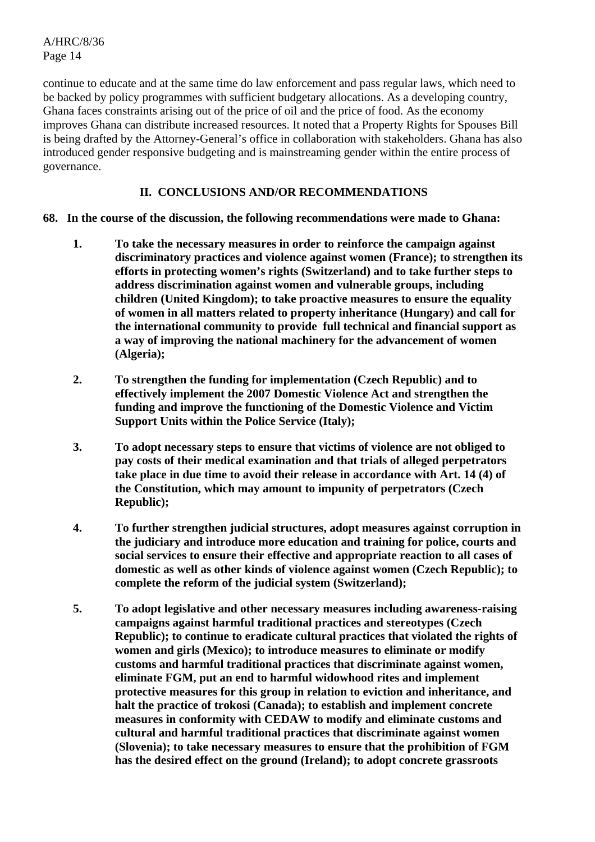continue to educate and at the same time do law enforcement and pass regular laws, which need to be backed by policy programmes with sufficient budgetary allocations. As a developing country, Ghana faces constraints arising out of the price of oil and the price of food. As the economy improves Ghana can distribute increased resources. It noted that a Property Rights for Spouses Bill is being drafted by the Attorney-General's office in collaboration with stakeholders. Ghana has also introduced gender responsive budgeting and is mainstreaming gender within the entire process of governance.

## **II. CONCLUSIONS AND/OR RECOMMENDATIONS**

- **68. In the course of the discussion, the following recommendations were made to Ghana:** 
	- **1. To take the necessary measures in order to reinforce the campaign against discriminatory practices and violence against women (France); to strengthen its efforts in protecting women's rights (Switzerland) and to take further steps to address discrimination against women and vulnerable groups, including children (United Kingdom); to take proactive measures to ensure the equality of women in all matters related to property inheritance (Hungary) and call for the international community to provide full technical and financial support as a way of improving the national machinery for the advancement of women (Algeria);**
	- **2. To strengthen the funding for implementation (Czech Republic) and to effectively implement the 2007 Domestic Violence Act and strengthen the funding and improve the functioning of the Domestic Violence and Victim Support Units within the Police Service (Italy);**
	- **3. To adopt necessary steps to ensure that victims of violence are not obliged to pay costs of their medical examination and that trials of alleged perpetrators take place in due time to avoid their release in accordance with Art. 14 (4) of the Constitution, which may amount to impunity of perpetrators (Czech Republic);**
	- **4. To further strengthen judicial structures, adopt measures against corruption in the judiciary and introduce more education and training for police, courts and social services to ensure their effective and appropriate reaction to all cases of domestic as well as other kinds of violence against women (Czech Republic); to complete the reform of the judicial system (Switzerland);**
	- **5. To adopt legislative and other necessary measures including awareness-raising campaigns against harmful traditional practices and stereotypes (Czech Republic); to continue to eradicate cultural practices that violated the rights of women and girls (Mexico); to introduce measures to eliminate or modify customs and harmful traditional practices that discriminate against women, eliminate FGM, put an end to harmful widowhood rites and implement protective measures for this group in relation to eviction and inheritance, and halt the practice of trokosi (Canada); to establish and implement concrete measures in conformity with CEDAW to modify and eliminate customs and cultural and harmful traditional practices that discriminate against women (Slovenia); to take necessary measures to ensure that the prohibition of FGM has the desired effect on the ground (Ireland); to adopt concrete grassroots**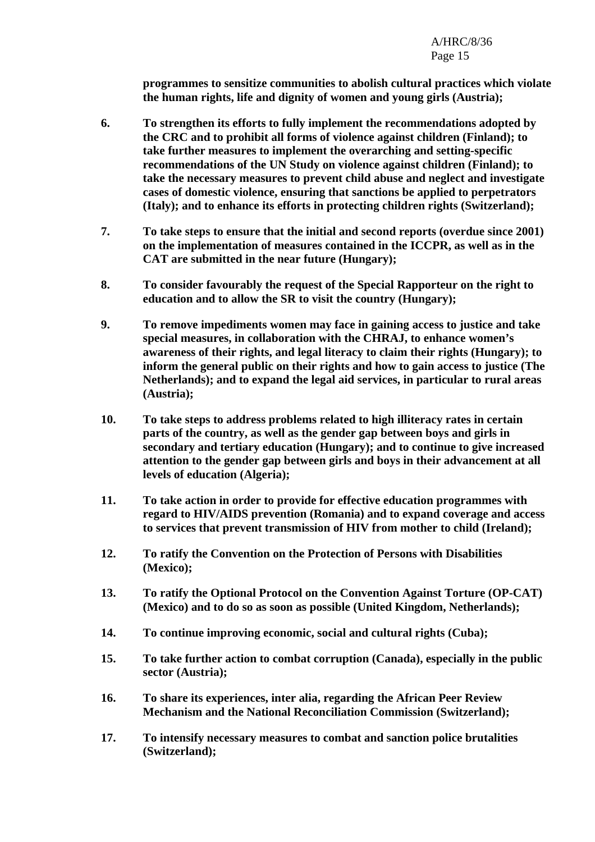**programmes to sensitize communities to abolish cultural practices which violate the human rights, life and dignity of women and young girls (Austria);** 

- **6. To strengthen its efforts to fully implement the recommendations adopted by the CRC and to prohibit all forms of violence against children (Finland); to take further measures to implement the overarching and setting-specific recommendations of the UN Study on violence against children (Finland); to take the necessary measures to prevent child abuse and neglect and investigate cases of domestic violence, ensuring that sanctions be applied to perpetrators (Italy); and to enhance its efforts in protecting children rights (Switzerland);**
- **7. To take steps to ensure that the initial and second reports (overdue since 2001) on the implementation of measures contained in the ICCPR, as well as in the CAT are submitted in the near future (Hungary);**
- **8. To consider favourably the request of the Special Rapporteur on the right to education and to allow the SR to visit the country (Hungary);**
- **9. To remove impediments women may face in gaining access to justice and take special measures, in collaboration with the CHRAJ, to enhance women's awareness of their rights, and legal literacy to claim their rights (Hungary); to inform the general public on their rights and how to gain access to justice (The Netherlands); and to expand the legal aid services, in particular to rural areas (Austria);**
- **10. To take steps to address problems related to high illiteracy rates in certain parts of the country, as well as the gender gap between boys and girls in secondary and tertiary education (Hungary); and to continue to give increased attention to the gender gap between girls and boys in their advancement at all levels of education (Algeria);**
- **11. To take action in order to provide for effective education programmes with regard to HIV/AIDS prevention (Romania) and to expand coverage and access to services that prevent transmission of HIV from mother to child (Ireland);**
- **12. To ratify the Convention on the Protection of Persons with Disabilities (Mexico);**
- **13. To ratify the Optional Protocol on the Convention Against Torture (OP-CAT) (Mexico) and to do so as soon as possible (United Kingdom, Netherlands);**
- **14. To continue improving economic, social and cultural rights (Cuba);**
- **15. To take further action to combat corruption (Canada), especially in the public sector (Austria);**
- **16. To share its experiences, inter alia, regarding the African Peer Review Mechanism and the National Reconciliation Commission (Switzerland);**
- **17. To intensify necessary measures to combat and sanction police brutalities (Switzerland);**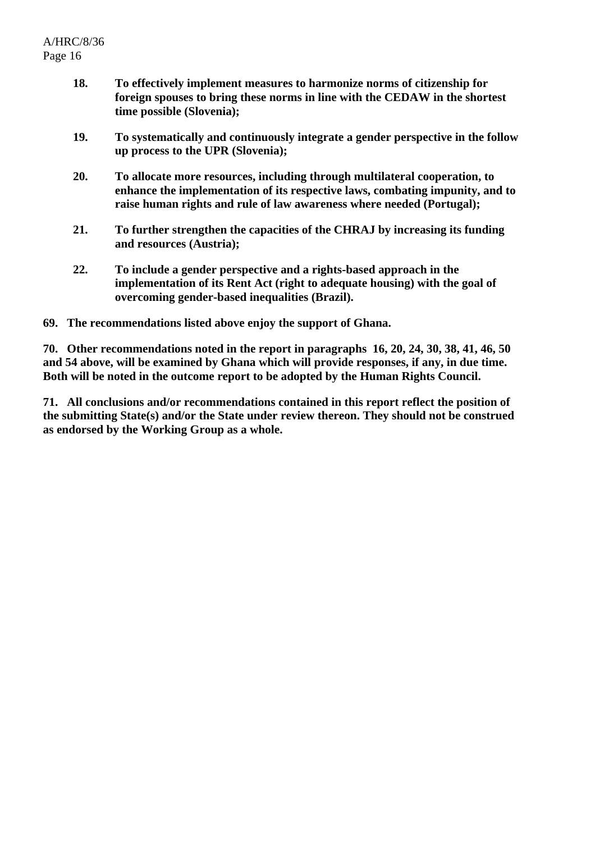- **18. To effectively implement measures to harmonize norms of citizenship for foreign spouses to bring these norms in line with the CEDAW in the shortest time possible (Slovenia);**
- **19. To systematically and continuously integrate a gender perspective in the follow up process to the UPR (Slovenia);**
- **20. To allocate more resources, including through multilateral cooperation, to enhance the implementation of its respective laws, combating impunity, and to raise human rights and rule of law awareness where needed (Portugal);**
- **21. To further strengthen the capacities of the CHRAJ by increasing its funding and resources (Austria);**
- **22. To include a gender perspective and a rights-based approach in the implementation of its Rent Act (right to adequate housing) with the goal of overcoming gender-based inequalities (Brazil).**
- **69. The recommendations listed above enjoy the support of Ghana.**

**70. Other recommendations noted in the report in paragraphs 16, 20, 24, 30, 38, 41, 46, 50 and 54 above, will be examined by Ghana which will provide responses, if any, in due time. Both will be noted in the outcome report to be adopted by the Human Rights Council.** 

**71. All conclusions and/or recommendations contained in this report reflect the position of the submitting State(s) and/or the State under review thereon. They should not be construed as endorsed by the Working Group as a whole.**